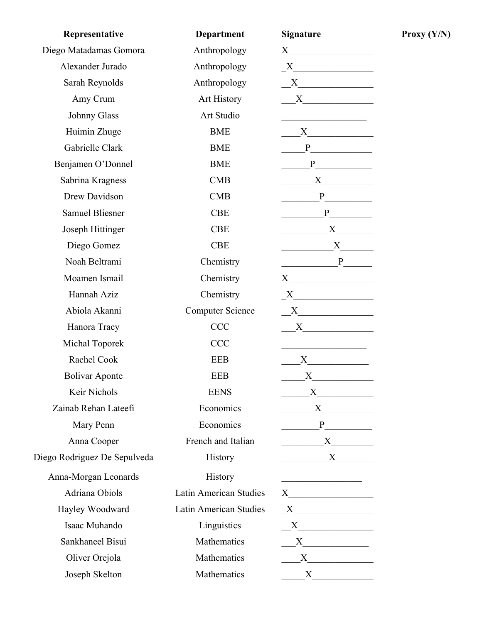| Representative               | <b>Department</b>       | <b>Signature</b>                                                                                                                                                                                                              |
|------------------------------|-------------------------|-------------------------------------------------------------------------------------------------------------------------------------------------------------------------------------------------------------------------------|
| Diego Matadamas Gomora       | Anthropology            |                                                                                                                                                                                                                               |
| Alexander Jurado             | Anthropology            | $X$ and $X$ and $X$ and $X$ and $X$ and $X$ and $X$ and $X$ and $X$ and $X$ and $X$ and $X$ and $X$ and $X$ and $X$ and $X$ and $X$ and $X$ and $X$ and $X$ and $X$ and $X$ and $X$ and $X$ and $X$ and $X$ and $X$ and $X$ a |
| Sarah Reynolds               | Anthropology            | $X$ and $X$ and $X$ and $X$ and $X$ and $X$ and $X$ and $X$ and $X$ and $X$ and $X$ and $X$ and $X$ and $X$ and $X$ and $X$ and $X$ and $X$ and $X$ and $X$ and $X$ and $X$ and $X$ and $X$ and $X$ and $X$ and $X$ and $X$ a |
| Amy Crum                     | Art History             | X                                                                                                                                                                                                                             |
| Johnny Glass                 | Art Studio              |                                                                                                                                                                                                                               |
| Huimin Zhuge                 | <b>BME</b>              | $X \qquad \qquad$                                                                                                                                                                                                             |
| Gabrielle Clark              | <b>BME</b>              |                                                                                                                                                                                                                               |
| Benjamen O'Donnel            | <b>BME</b>              |                                                                                                                                                                                                                               |
| Sabrina Kragness             | CMB                     |                                                                                                                                                                                                                               |
| Drew Davidson                | <b>CMB</b>              |                                                                                                                                                                                                                               |
| <b>Samuel Bliesner</b>       | <b>CBE</b>              | P                                                                                                                                                                                                                             |
| Joseph Hittinger             | <b>CBE</b>              | $X \quad \qquad$                                                                                                                                                                                                              |
| Diego Gomez                  | <b>CBE</b>              |                                                                                                                                                                                                                               |
| Noah Beltrami                | Chemistry               |                                                                                                                                                                                                                               |
| Moamen Ismail                | Chemistry               |                                                                                                                                                                                                                               |
| Hannah Aziz                  | Chemistry               | $X$ and $X$ and $X$ and $X$ and $X$ and $X$ and $X$ and $X$ and $X$ and $X$ and $X$ and $X$ and $X$ and $X$ and $X$ and $X$ and $X$ and $X$ and $X$ and $X$ and $X$ and $X$ and $X$ and $X$ and $X$ and $X$ and $X$ and $X$ a |
| Abiola Akanni                | <b>Computer Science</b> | $\begin{array}{c}\nX\n\end{array}$                                                                                                                                                                                            |
| Hanora Tracy                 | <b>CCC</b>              |                                                                                                                                                                                                                               |
| Michal Toporek               | <b>CCC</b>              | <u> 1989 - Johann Barbara, martin a</u>                                                                                                                                                                                       |
| Rachel Cook                  | EEB                     | $X \qquad \qquad$                                                                                                                                                                                                             |
| <b>Bolivar Aponte</b>        | EEB                     | $X_{-}$                                                                                                                                                                                                                       |
| Keir Nichols                 | <b>EENS</b>             |                                                                                                                                                                                                                               |
| Zainab Rehan Lateefi         | Economics               |                                                                                                                                                                                                                               |
| Mary Penn                    | Economics               |                                                                                                                                                                                                                               |
| Anna Cooper                  | French and Italian      |                                                                                                                                                                                                                               |
| Diego Rodriguez De Sepulveda | History                 | X                                                                                                                                                                                                                             |
| Anna-Morgan Leonards         | History                 | <u> 1989 - Johann Barbara, martxa amerikan p</u>                                                                                                                                                                              |
| Adriana Obiols               | Latin American Studies  |                                                                                                                                                                                                                               |
| Hayley Woodward              | Latin American Studies  | $\begin{array}{c}\nX \n\end{array}$                                                                                                                                                                                           |
| Isaac Muhando                | Linguistics             | X                                                                                                                                                                                                                             |
| Sankhaneel Bisui             | Mathematics             |                                                                                                                                                                                                                               |
| Oliver Orejola               | Mathematics             |                                                                                                                                                                                                                               |
| Joseph Skelton               | Mathematics             | $X \qquad \qquad$                                                                                                                                                                                                             |

**Proxy (Y/N)**